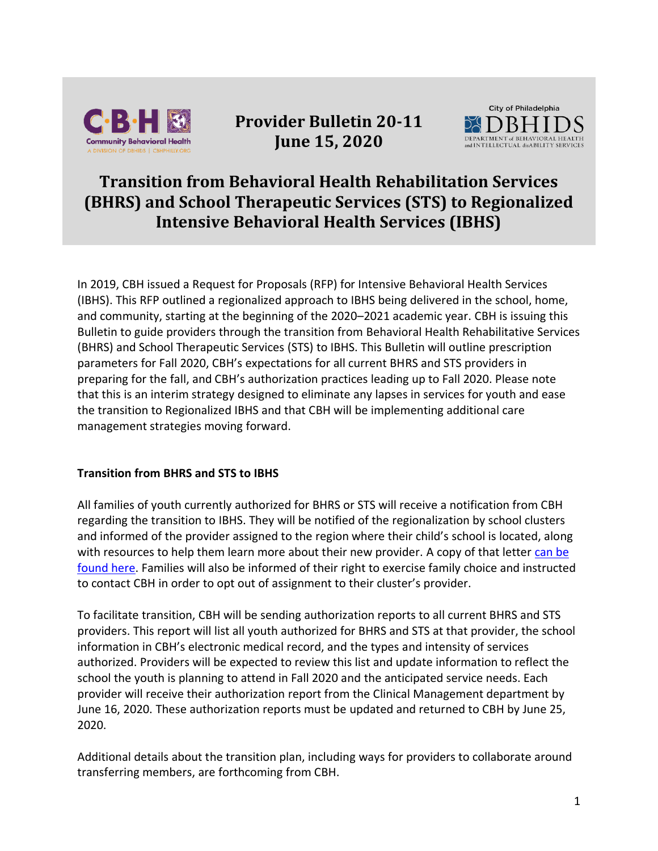

**Provider Bulletin 20-11 June 15, 2020**



# **Transition from Behavioral Health Rehabilitation Services (BHRS) and School Therapeutic Services (STS) to Regionalized Intensive Behavioral Health Services (IBHS)**

In 2019, CBH issued a Request for Proposals (RFP) for Intensive Behavioral Health Services (IBHS). This RFP outlined a regionalized approach to IBHS being delivered in the school, home, and community, starting at the beginning of the 2020–2021 academic year. CBH is issuing this Bulletin to guide providers through the transition from Behavioral Health Rehabilitative Services (BHRS) and School Therapeutic Services (STS) to IBHS. This Bulletin will outline prescription parameters for Fall 2020, CBH's expectations for all current BHRS and STS providers in preparing for the fall, and CBH's authorization practices leading up to Fall 2020. Please note that this is an interim strategy designed to eliminate any lapses in services for youth and ease the transition to Regionalized IBHS and that CBH will be implementing additional care management strategies moving forward.

### **Transition from BHRS and STS to IBHS**

All families of youth currently authorized for BHRS or STS will receive a notification from CBH regarding the transition to IBHS. They will be notified of the regionalization by school clusters and informed of the provider assigned to the region where their child's school is located, along with resources to help them learn more about their new provider. A copy of that letter [can be](https://cbhphilly.org/cbh-providers/ibhs/)  [found here.](https://cbhphilly.org/cbh-providers/ibhs/) Families will also be informed of their right to exercise family choice and instructed to contact CBH in order to opt out of assignment to their cluster's provider.

To facilitate transition, CBH will be sending authorization reports to all current BHRS and STS providers. This report will list all youth authorized for BHRS and STS at that provider, the school information in CBH's electronic medical record, and the types and intensity of services authorized. Providers will be expected to review this list and update information to reflect the school the youth is planning to attend in Fall 2020 and the anticipated service needs. Each provider will receive their authorization report from the Clinical Management department by June 16, 2020. These authorization reports must be updated and returned to CBH by June 25, 2020.

Additional details about the transition plan, including ways for providers to collaborate around transferring members, are forthcoming from CBH.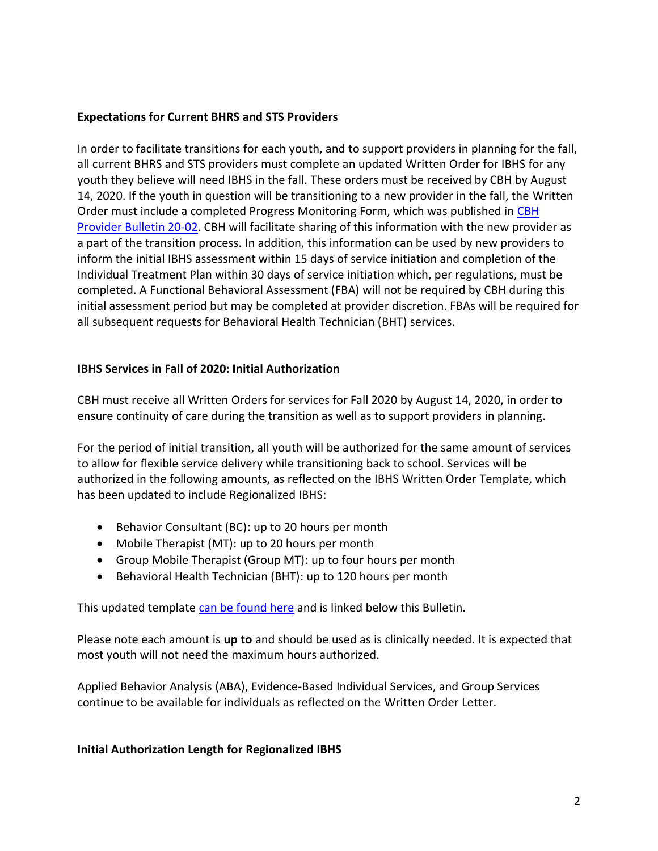#### **Expectations for Current BHRS and STS Providers**

In order to facilitate transitions for each youth, and to support providers in planning for the fall, all current BHRS and STS providers must complete an updated Written Order for IBHS for any youth they believe will need IBHS in the fall. These orders must be received by CBH by August 14, 2020. If the youth in question will be transitioning to a new provider in the fall, the Written Order must include a completed Progress Monitoring Form, which was published in [CBH](https://cbhphilly.org/cbh-providers/oversight-and-monitoring/cbh-provider-manual/provider-bulletins/)  [Provider Bulletin 20-02.](https://cbhphilly.org/cbh-providers/oversight-and-monitoring/cbh-provider-manual/provider-bulletins/) CBH will facilitate sharing of this information with the new provider as a part of the transition process. In addition, this information can be used by new providers to inform the initial IBHS assessment within 15 days of service initiation and completion of the Individual Treatment Plan within 30 days of service initiation which, per regulations, must be completed. A Functional Behavioral Assessment (FBA) will not be required by CBH during this initial assessment period but may be completed at provider discretion. FBAs will be required for all subsequent requests for Behavioral Health Technician (BHT) services.

### **IBHS Services in Fall of 2020: Initial Authorization**

CBH must receive all Written Orders for services for Fall 2020 by August 14, 2020, in order to ensure continuity of care during the transition as well as to support providers in planning.

For the period of initial transition, all youth will be authorized for the same amount of services to allow for flexible service delivery while transitioning back to school. Services will be authorized in the following amounts, as reflected on the IBHS Written Order Template, which has been updated to include Regionalized IBHS:

- Behavior Consultant (BC): up to 20 hours per month
- Mobile Therapist (MT): up to 20 hours per month
- Group Mobile Therapist (Group MT): up to four hours per month
- Behavioral Health Technician (BHT): up to 120 hours per month

This updated template [can be found here](https://cbhphilly.org/wp-content/uploads/2020/06/CBH_Provider-Bulletin_20-11_BHRS-IBHS-Transition_Written-Order-Letter_2020-06-15_Attachment.docx) and is linked below this Bulletin.

Please note each amount is **up to** and should be used as is clinically needed. It is expected that most youth will not need the maximum hours authorized.

Applied Behavior Analysis (ABA), Evidence-Based Individual Services, and Group Services continue to be available for individuals as reflected on the Written Order Letter.

### **Initial Authorization Length for Regionalized IBHS**